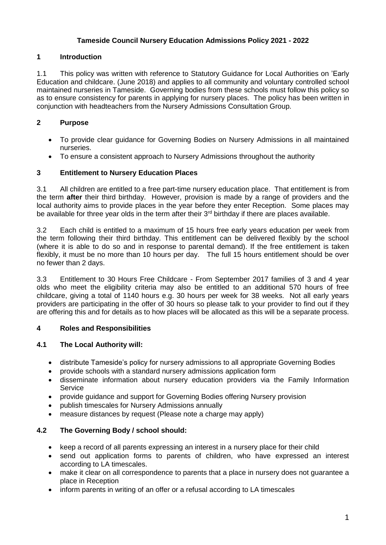## **Tameside Council Nursery Education Admissions Policy 2021 - 2022**

## **1 Introduction**

1.1 This policy was written with reference to Statutory Guidance for Local Authorities on 'Early Education and childcare. (June 2018) and applies to all community and voluntary controlled school maintained nurseries in Tameside. Governing bodies from these schools must follow this policy so as to ensure consistency for parents in applying for nursery places. The policy has been written in conjunction with headteachers from the Nursery Admissions Consultation Group.

## **2 Purpose**

- To provide clear guidance for Governing Bodies on Nursery Admissions in all maintained nurseries.
- To ensure a consistent approach to Nursery Admissions throughout the authority

## **3 Entitlement to Nursery Education Places**

3.1 All children are entitled to a free part-time nursery education place. That entitlement is from the term **after** their third birthday. However, provision is made by a range of providers and the local authority aims to provide places in the year before they enter Reception. Some places may be available for three year olds in the term after their 3<sup>rd</sup> birthday if there are places available.

3.2 Each child is entitled to a maximum of 15 hours free early years education per week from the term following their third birthday. This entitlement can be delivered flexibly by the school (where it is able to do so and in response to parental demand). If the free entitlement is taken flexibly, it must be no more than 10 hours per day. The full 15 hours entitlement should be over no fewer than 2 days.

3.3 Entitlement to 30 Hours Free Childcare - From September 2017 families of 3 and 4 year olds who meet the eligibility criteria may also be entitled to an additional 570 hours of free childcare, giving a total of 1140 hours e.g. 30 hours per week for 38 weeks. Not all early years providers are participating in the offer of 30 hours so please talk to your provider to find out if they are offering this and for details as to how places will be allocated as this will be a separate process.

## **4 Roles and Responsibilities**

## **4.1 The Local Authority will:**

- distribute Tameside's policy for nursery admissions to all appropriate Governing Bodies
- provide schools with a standard nursery admissions application form
- disseminate information about nursery education providers via the Family Information Service
- provide guidance and support for Governing Bodies offering Nursery provision
- publish timescales for Nursery Admissions annually
- measure distances by request (Please note a charge may apply)

# **4.2 The Governing Body / school should:**

- keep a record of all parents expressing an interest in a nursery place for their child
- send out application forms to parents of children, who have expressed an interest according to LA timescales.
- make it clear on all correspondence to parents that a place in nursery does not guarantee a place in Reception
- inform parents in writing of an offer or a refusal according to LA timescales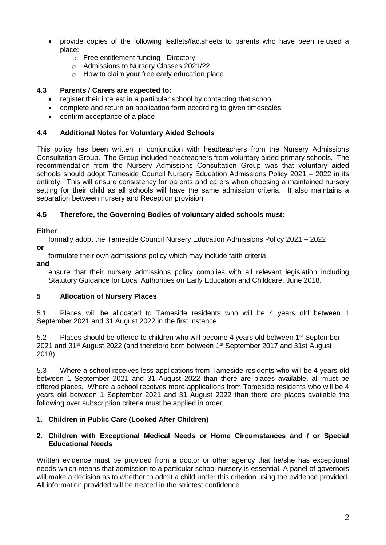- provide copies of the following leaflets/factsheets to parents who have been refused a place:
	- o Free entitlement funding Directory
	- o Admissions to Nursery Classes 2021/22
	- o How to claim your free early education place

#### **4.3 Parents / Carers are expected to:**

- register their interest in a particular school by contacting that school
- complete and return an application form according to given timescales
- confirm acceptance of a place

#### **4.4 Additional Notes for Voluntary Aided Schools**

This policy has been written in conjunction with headteachers from the Nursery Admissions Consultation Group. The Group included headteachers from voluntary aided primary schools. The recommendation from the Nursery Admissions Consultation Group was that voluntary aided schools should adopt Tameside Council Nursery Education Admissions Policy 2021 – 2022 in its entirety. This will ensure consistency for parents and carers when choosing a maintained nursery setting for their child as all schools will have the same admission criteria. It also maintains a separation between nursery and Reception provision.

#### **4.5 Therefore, the Governing Bodies of voluntary aided schools must:**

#### **Either**

formally adopt the Tameside Council Nursery Education Admissions Policy 2021 – 2022

formulate their own admissions policy which may include faith criteria

**and**

**or** 

ensure that their nursery admissions policy complies with all relevant legislation including Statutory Guidance for Local Authorities on Early Education and Childcare, June 2018.

#### **5 Allocation of Nursery Places**

5.1 Places will be allocated to Tameside residents who will be 4 years old between 1 September 2021 and 31 August 2022 in the first instance.

5.2 Places should be offered to children who will become 4 years old between 1<sup>st</sup> September 2021 and 31<sup>st</sup> August 2022 (and therefore born between 1<sup>st</sup> September 2017 and 31st August 2018).

5.3 Where a school receives less applications from Tameside residents who will be 4 years old between 1 September 2021 and 31 August 2022 than there are places available, all must be offered places. Where a school receives more applications from Tameside residents who will be 4 years old between 1 September 2021 and 31 August 2022 than there are places available the following over subscription criteria must be applied in order:

## **1. Children in Public Care (Looked After Children)**

#### **2. Children with Exceptional Medical Needs or Home Circumstances and / or Special Educational Needs**

Written evidence must be provided from a doctor or other agency that he/she has exceptional needs which means that admission to a particular school nursery is essential. A panel of governors will make a decision as to whether to admit a child under this criterion using the evidence provided. All information provided will be treated in the strictest confidence.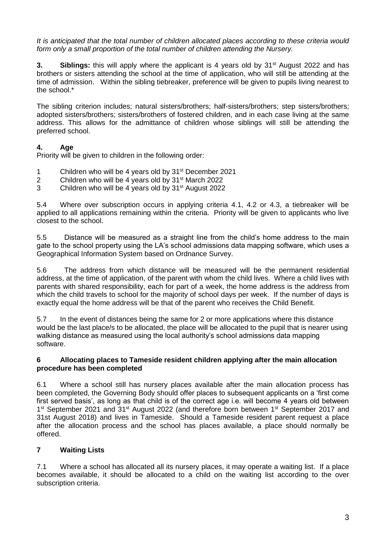*It is anticipated that the total number of children allocated places according to these criteria would form only a small proportion of the total number of children attending the Nursery.*

**3. Siblings:** this will apply where the applicant is 4 years old by 31<sup>st</sup> August 2022 and has brothers or sisters attending the school at the time of application, who will still be attending at the time of admission. Within the sibling tiebreaker, preference will be given to pupils living nearest to the school.\*

The sibling criterion includes; natural sisters/brothers; half-sisters/brothers; step sisters/brothers; adopted sisters/brothers; sisters/brothers of fostered children, and in each case living at the same address. This allows for the admittance of children whose siblings will still be attending the preferred school.

## **4. Age**

Priority will be given to children in the following order:

- 1 Children who will be 4 years old by 31st December 2021
- 2 Children who will be 4 years old by  $31<sup>st</sup>$  March 2022
- 3 Children who will be 4 years old by 31st August 2022

5.4 Where over subscription occurs in applying criteria 4.1, 4.2 or 4.3, a tiebreaker will be applied to all applications remaining within the criteria. Priority will be given to applicants who live closest to the school.

5.5 Distance will be measured as a straight line from the child's home address to the main gate to the school property using the LA's school admissions data mapping software, which uses a Geographical Information System based on Ordnance Survey.

5.6 The address from which distance will be measured will be the permanent residential address, at the time of application, of the parent with whom the child lives. Where a child lives with parents with shared responsibility, each for part of a week, the home address is the address from which the child travels to school for the majority of school days per week. If the number of days is exactly equal the home address will be that of the parent who receives the Child Benefit.

5.7 In the event of distances being the same for 2 or more applications where this distance would be the last place/s to be allocated, the place will be allocated to the pupil that is nearer using walking distance as measured using the local authority's school admissions data mapping software.

#### **6 Allocating places to Tameside resident children applying after the main allocation procedure has been completed**

6.1 Where a school still has nursery places available after the main allocation process has been completed, the Governing Body should offer places to subsequent applicants on a 'first come first served basis', as long as that child is of the correct age i.e. will become 4 years old between 1<sup>st</sup> September 2021 and 31<sup>st</sup> August 2022 (and therefore born between 1<sup>st</sup> September 2017 and 31st August 2018) and lives in Tameside. Should a Tameside resident parent request a place after the allocation process and the school has places available, a place should normally be offered.

## **7 Waiting Lists**

7.1 Where a school has allocated all its nursery places, it may operate a waiting list. If a place becomes available, it should be allocated to a child on the waiting list according to the over subscription criteria.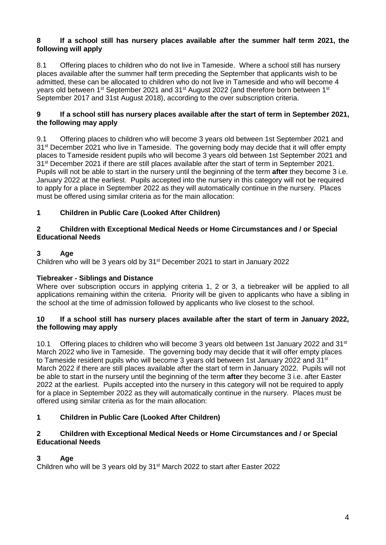#### **8 If a school still has nursery places available after the summer half term 2021, the following will apply**

8.1 Offering places to children who do not live in Tameside. Where a school still has nursery places available after the summer half term preceding the September that applicants wish to be admitted, these can be allocated to children who do not live in Tameside and who will become 4 years old between 1<sup>st</sup> September 2021 and 31<sup>st</sup> August 2022 (and therefore born between 1<sup>st</sup> September 2017 and 31st August 2018), according to the over subscription criteria.

#### **9 If a school still has nursery places available after the start of term in September 2021, the following may apply**

9.1 Offering places to children who will become 3 years old between 1st September 2021 and 31<sup>st</sup> December 2021 who live in Tameside. The governing body may decide that it will offer empty places to Tameside resident pupils who will become 3 years old between 1st September 2021 and 31st December 2021 if there are still places available after the start of term in September 2021. Pupils will not be able to start in the nursery until the beginning of the term **after** they become 3 i.e. January 2022 at the earliest. Pupils accepted into the nursery in this category will not be required to apply for a place in September 2022 as they will automatically continue in the nursery. Places must be offered using similar criteria as for the main allocation:

## **1 Children in Public Care (Looked After Children)**

#### **2 Children with Exceptional Medical Needs or Home Circumstances and / or Special Educational Needs**

## **3 Age**

Children who will be 3 years old by 31<sup>st</sup> December 2021 to start in January 2022

## **Tiebreaker - Siblings and Distance**

Where over subscription occurs in applying criteria 1, 2 or 3, a tiebreaker will be applied to all applications remaining within the criteria. Priority will be given to applicants who have a sibling in the school at the time of admission followed by applicants who live closest to the school.

#### **10 If a school still has nursery places available after the start of term in January 2022, the following may apply**

10.1 Offering places to children who will become 3 years old between 1st January 2022 and 31<sup>st</sup> March 2022 who live in Tameside. The governing body may decide that it will offer empty places to Tameside resident pupils who will become 3 years old between 1st January 2022 and 31<sup>st</sup> March 2022 if there are still places available after the start of term in January 2022. Pupils will not be able to start in the nursery until the beginning of the term **after** they become 3 i.e. after Easter 2022 at the earliest. Pupils accepted into the nursery in this category will not be required to apply for a place in September 2022 as they will automatically continue in the nursery. Places must be offered using similar criteria as for the main allocation:

## **1 Children in Public Care (Looked After Children)**

#### **2 Children with Exceptional Medical Needs or Home Circumstances and / or Special Educational Needs**

## **3 Age**

Children who will be 3 years old by 31<sup>st</sup> March 2022 to start after Easter 2022